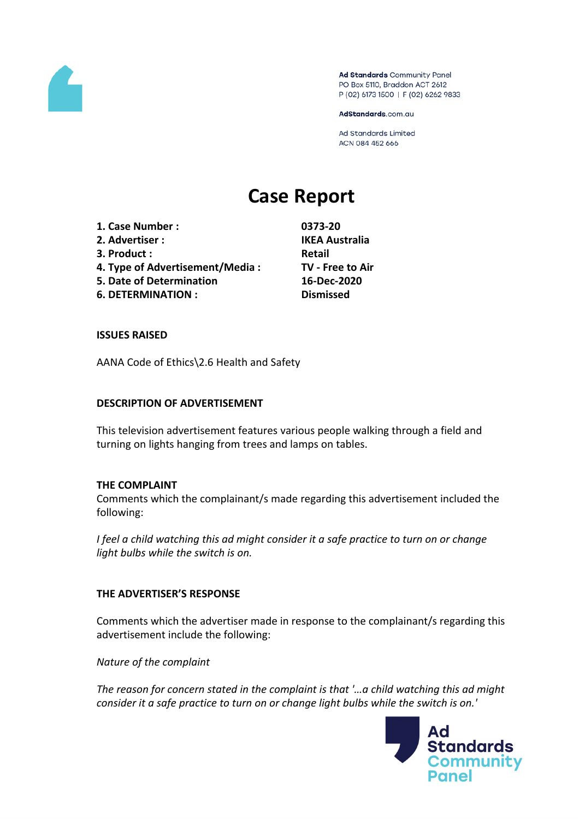

Ad Standards Community Panel PO Box 5110, Braddon ACT 2612 P (02) 6173 1500 | F (02) 6262 9833

AdStandards.com.au

Ad Standards Limited ACN 084 452 666

# **Case Report**

**1. Case Number : 0373-20 2. Advertiser : IKEA Australia 3. Product**: **Retail 4. Type of Advertisement/Media : TV - Free to Air 5. Date of Determination 16-Dec-2020 6. DETERMINATION : Dismissed**

# **ISSUES RAISED**

AANA Code of Ethics\2.6 Health and Safety

#### **DESCRIPTION OF ADVERTISEMENT**

This television advertisement features various people walking through a field and turning on lights hanging from trees and lamps on tables.

#### **THE COMPLAINT**

Comments which the complainant/s made regarding this advertisement included the following:

*I feel a child watching this ad might consider it a safe practice to turn on or change light bulbs while the switch is on.*

# **THE ADVERTISER'S RESPONSE**

Comments which the advertiser made in response to the complainant/s regarding this advertisement include the following:

*Nature of the complaint*

*The reason for concern stated in the complaint is that '…a child watching this ad might consider it a safe practice to turn on or change light bulbs while the switch is on.'*

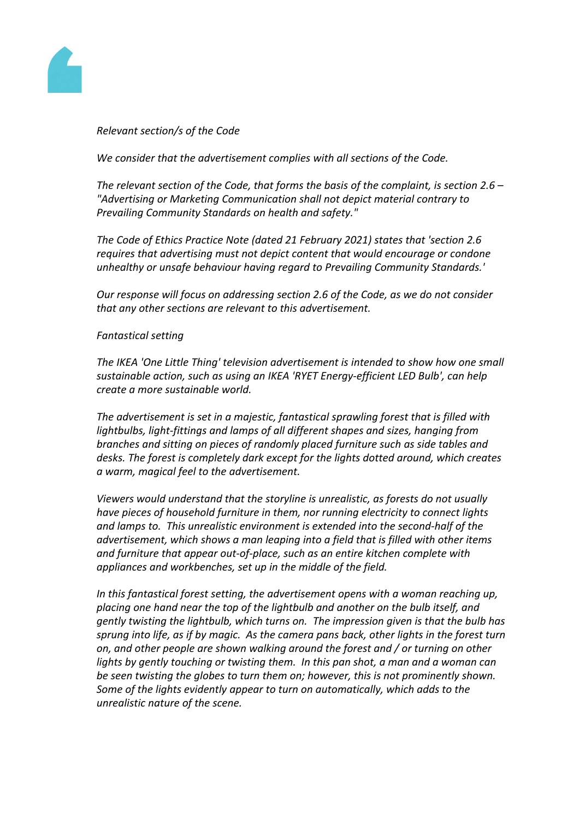

# *Relevant section/s of the Code*

*We consider that the advertisement complies with all sections of the Code.*

*The relevant section of the Code, that forms the basis of the complaint, is section 2.6 – "Advertising or Marketing Communication shall not depict material contrary to Prevailing Community Standards on health and safety."*

*The Code of Ethics Practice Note (dated 21 February 2021) states that 'section 2.6 requires that advertising must not depict content that would encourage or condone unhealthy or unsafe behaviour having regard to Prevailing Community Standards.'*

*Our response will focus on addressing section 2.6 of the Code, as we do not consider that any other sections are relevant to this advertisement.*

# *Fantastical setting*

*The IKEA 'One Little Thing' television advertisement is intended to show how one small sustainable action, such as using an IKEA 'RYET Energy-efficient LED Bulb', can help create a more sustainable world.* 

*The advertisement is set in a majestic, fantastical sprawling forest that is filled with lightbulbs, light-fittings and lamps of all different shapes and sizes, hanging from branches and sitting on pieces of randomly placed furniture such as side tables and desks. The forest is completely dark except for the lights dotted around, which creates a warm, magical feel to the advertisement.*

*Viewers would understand that the storyline is unrealistic, as forests do not usually have pieces of household furniture in them, nor running electricity to connect lights and lamps to. This unrealistic environment is extended into the second-half of the advertisement, which shows a man leaping into a field that is filled with other items and furniture that appear out-of-place, such as an entire kitchen complete with appliances and workbenches, set up in the middle of the field.*

*In this fantastical forest setting, the advertisement opens with a woman reaching up, placing one hand near the top of the lightbulb and another on the bulb itself, and gently twisting the lightbulb, which turns on. The impression given is that the bulb has sprung into life, as if by magic. As the camera pans back, other lights in the forest turn on, and other people are shown walking around the forest and / or turning on other lights by gently touching or twisting them. In this pan shot, a man and a woman can be seen twisting the globes to turn them on; however, this is not prominently shown. Some of the lights evidently appear to turn on automatically, which adds to the unrealistic nature of the scene.*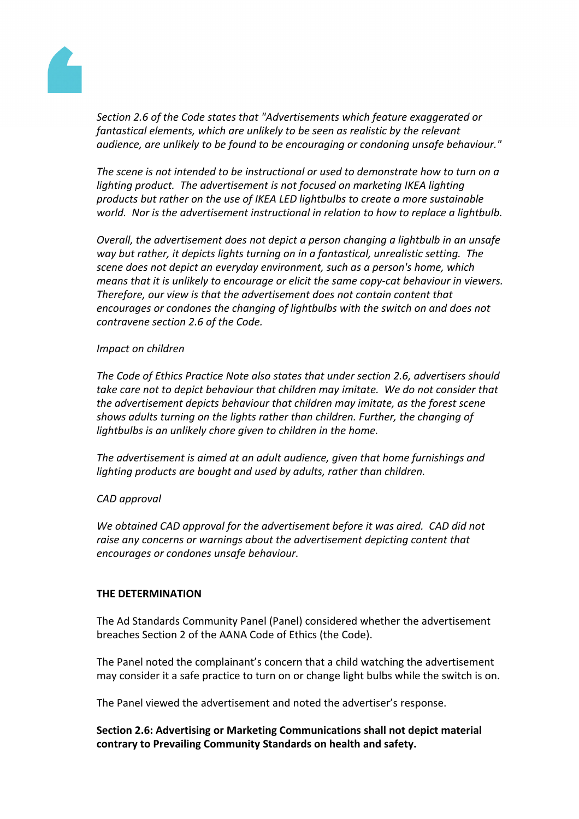

*Section 2.6 of the Code states that "Advertisements which feature exaggerated or fantastical elements, which are unlikely to be seen as realistic by the relevant audience, are unlikely to be found to be encouraging or condoning unsafe behaviour."*

*The scene is not intended to be instructional or used to demonstrate how to turn on a lighting product. The advertisement is not focused on marketing IKEA lighting products but rather on the use of IKEA LED lightbulbs to create a more sustainable world. Nor is the advertisement instructional in relation to how to replace a lightbulb.*

*Overall, the advertisement does not depict a person changing a lightbulb in an unsafe way but rather, it depicts lights turning on in a fantastical, unrealistic setting. The scene does not depict an everyday environment, such as a person's home, which means that it is unlikely to encourage or elicit the same copy-cat behaviour in viewers. Therefore, our view is that the advertisement does not contain content that encourages or condones the changing of lightbulbs with the switch on and does not contravene section 2.6 of the Code.*

#### *Impact on children*

*The Code of Ethics Practice Note also states that under section 2.6, advertisers should take care not to depict behaviour that children may imitate. We do not consider that the advertisement depicts behaviour that children may imitate, as the forest scene shows adults turning on the lights rather than children. Further, the changing of lightbulbs is an unlikely chore given to children in the home.*

*The advertisement is aimed at an adult audience, given that home furnishings and lighting products are bought and used by adults, rather than children.* 

# *CAD approval*

*We obtained CAD approval for the advertisement before it was aired. CAD did not raise any concerns or warnings about the advertisement depicting content that encourages or condones unsafe behaviour.*

# **THE DETERMINATION**

The Ad Standards Community Panel (Panel) considered whether the advertisement breaches Section 2 of the AANA Code of Ethics (the Code).

The Panel noted the complainant's concern that a child watching the advertisement may consider it a safe practice to turn on or change light bulbs while the switch is on.

The Panel viewed the advertisement and noted the advertiser's response.

**Section 2.6: Advertising or Marketing Communications shall not depict material contrary to Prevailing Community Standards on health and safety.**